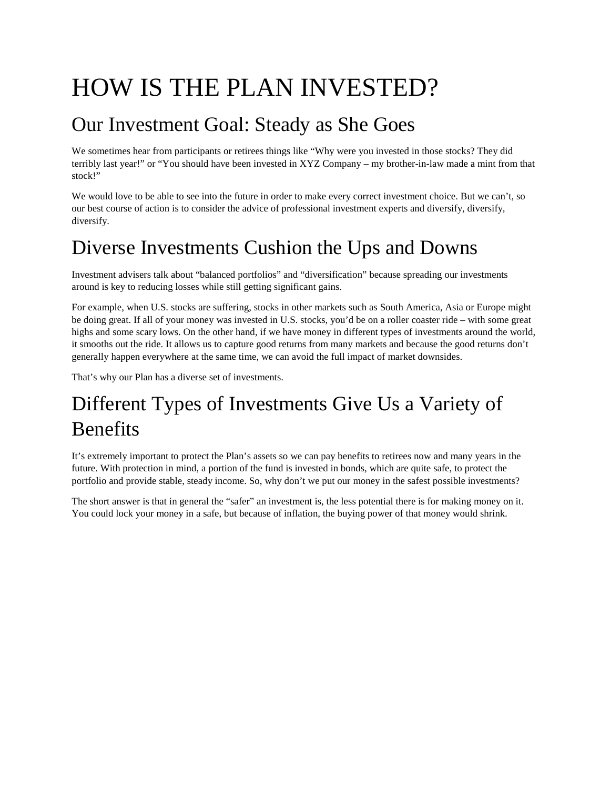# HOW IS THE PLAN INVESTED?

### Our Investment Goal: Steady as She Goes

We sometimes hear from participants or retirees things like "Why were you invested in those stocks? They did terribly last year!" or "You should have been invested in XYZ Company – my brother-in-law made a mint from that stock!"

We would love to be able to see into the future in order to make every correct investment choice. But we can't, so our best course of action is to consider the advice of professional investment experts and diversify, diversify, diversify.

## Diverse Investments Cushion the Ups and Downs

Investment advisers talk about "balanced portfolios" and "diversification" because spreading our investments around is key to reducing losses while still getting significant gains.

For example, when U.S. stocks are suffering, stocks in other markets such as South America, Asia or Europe might be doing great. If all of your money was invested in U.S. stocks, you'd be on a roller coaster ride – with some great highs and some scary lows. On the other hand, if we have money in different types of investments around the world, it smooths out the ride. It allows us to capture good returns from many markets and because the good returns don't generally happen everywhere at the same time, we can avoid the full impact of market downsides.

That's why our Plan has a diverse set of investments.

# Different Types of Investments Give Us a Variety of **Benefits**

It's extremely important to protect the Plan's assets so we can pay benefits to retirees now and many years in the future. With protection in mind, a portion of the fund is invested in bonds, which are quite safe, to protect the portfolio and provide stable, steady income. So, why don't we put our money in the safest possible investments?

The short answer is that in general the "safer" an investment is, the less potential there is for making money on it. You could lock your money in a safe, but because of inflation, the buying power of that money would shrink.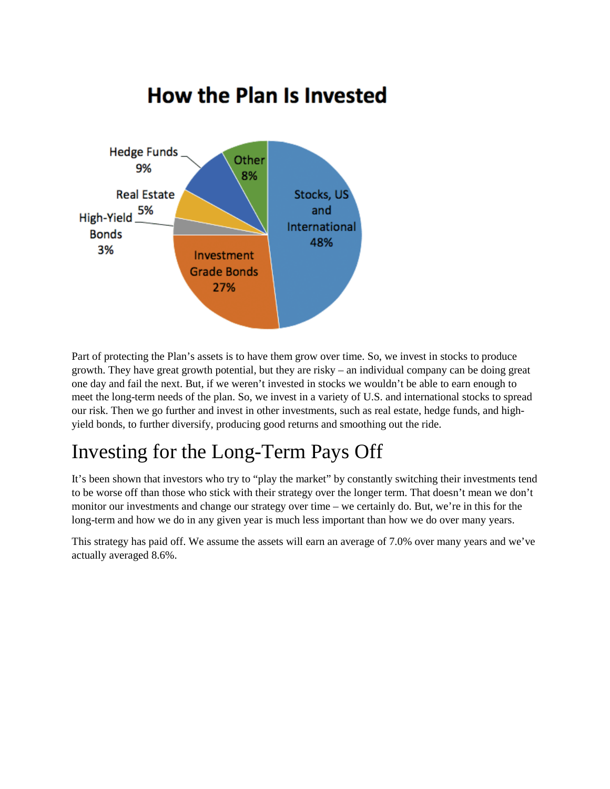

Part of protecting the Plan's assets is to have them grow over time. So, we invest in stocks to produce growth. They have great growth potential, but they are risky – an individual company can be doing great one day and fail the next. But, if we weren't invested in stocks we wouldn't be able to earn enough to meet the long-term needs of the plan. So, we invest in a variety of U.S. and international stocks to spread our risk. Then we go further and invest in other investments, such as real estate, hedge funds, and highyield bonds, to further diversify, producing good returns and smoothing out the ride.

### Investing for the Long-Term Pays Off

It's been shown that investors who try to "play the market" by constantly switching their investments tend to be worse off than those who stick with their strategy over the longer term. That doesn't mean we don't monitor our investments and change our strategy over time – we certainly do. But, we're in this for the long-term and how we do in any given year is much less important than how we do over many years.

This strategy has paid off. We assume the assets will earn an average of 7.0% over many years and we've actually averaged 8.6%.